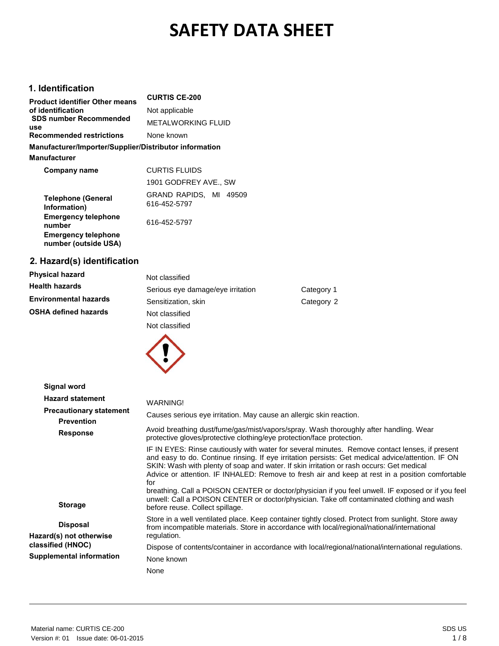# **SAFETY DATA SHEET**

## **1. Identification**

| <b>Product identifier Other means</b>                  | <b>CURTIS CE-200</b>                   |
|--------------------------------------------------------|----------------------------------------|
| of identification                                      | Not applicable                         |
| <b>SDS number Recommended</b><br>use                   | <b>METALWORKING FLUID</b>              |
| <b>Recommended restrictions</b>                        | None known                             |
| Manufacturer/Importer/Supplier/Distributor information |                                        |
| <b>Manufacturer</b>                                    |                                        |
| Company name                                           | <b>CURTIS FLUIDS</b>                   |
|                                                        | 1901 GODFREY AVE., SW                  |
| <b>Telephone (General</b><br>Information)              | GRAND RAPIDS, MI 49509<br>616-452-5797 |
| <b>Emergency telephone</b><br>number                   | 616-452-5797                           |
| <b>Emergency telephone</b><br>number (outside USA)     |                                        |

## **2. Hazard(s) identification**

| <b>Physical hazard</b>       | Not classified                    |            |
|------------------------------|-----------------------------------|------------|
| <b>Health hazards</b>        | Serious eye damage/eye irritation | Category 1 |
| <b>Environmental hazards</b> | Sensitization, skin               | Category 2 |
| <b>OSHA defined hazards</b>  | Not classified                    |            |
|                              | Not classified                    |            |



| Signal word                                         |                                                                                                                                                                                                                                                                                                                                                                                                                                                                                                                                                                                                                                                |
|-----------------------------------------------------|------------------------------------------------------------------------------------------------------------------------------------------------------------------------------------------------------------------------------------------------------------------------------------------------------------------------------------------------------------------------------------------------------------------------------------------------------------------------------------------------------------------------------------------------------------------------------------------------------------------------------------------------|
| <b>Hazard statement</b>                             | WARNING!                                                                                                                                                                                                                                                                                                                                                                                                                                                                                                                                                                                                                                       |
| <b>Precautionary statement</b><br><b>Prevention</b> | Causes serious eye irritation. May cause an allergic skin reaction.                                                                                                                                                                                                                                                                                                                                                                                                                                                                                                                                                                            |
| <b>Response</b>                                     | Avoid breathing dust/fume/gas/mist/vapors/spray. Wash thoroughly after handling. Wear<br>protective gloves/protective clothing/eye protection/face protection.                                                                                                                                                                                                                                                                                                                                                                                                                                                                                 |
| <b>Storage</b>                                      | IF IN EYES: Rinse cautiously with water for several minutes. Remove contact lenses, if present<br>and easy to do. Continue rinsing. If eye irritation persists: Get medical advice/attention. IF ON<br>SKIN: Wash with plenty of soap and water. If skin irritation or rash occurs: Get medical<br>Advice or attention. IF INHALED: Remove to fresh air and keep at rest in a position comfortable<br>for<br>breathing. Call a POISON CENTER or doctor/physician if you feel unwell. IF exposed or if you feel<br>unwell: Call a POISON CENTER or doctor/physician. Take off contaminated clothing and wash<br>before reuse. Collect spillage. |
| <b>Disposal</b><br>Hazard(s) not otherwise          | Store in a well ventilated place. Keep container tightly closed. Protect from sunlight. Store away<br>from incompatible materials. Store in accordance with local/regional/national/international<br>regulation.                                                                                                                                                                                                                                                                                                                                                                                                                               |
| classified (HNOC)                                   | Dispose of contents/container in accordance with local/regional/national/international regulations.                                                                                                                                                                                                                                                                                                                                                                                                                                                                                                                                            |
| <b>Supplemental information</b>                     | None known                                                                                                                                                                                                                                                                                                                                                                                                                                                                                                                                                                                                                                     |
|                                                     | None                                                                                                                                                                                                                                                                                                                                                                                                                                                                                                                                                                                                                                           |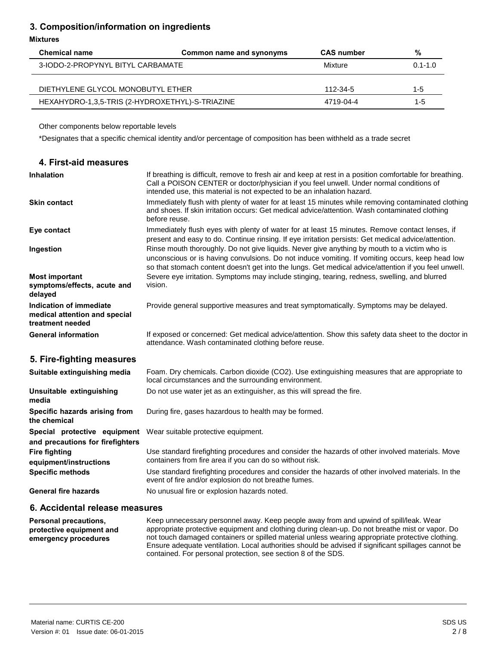## **3. Composition/information on ingredients**

#### **Mixtures**

| <b>Chemical name</b>                            | Common name and synonyms | <b>CAS number</b> | %           |
|-------------------------------------------------|--------------------------|-------------------|-------------|
| 3-IODO-2-PROPYNYL BITYL CARBAMATE               |                          | Mixture           | $0.1 - 1.0$ |
|                                                 |                          |                   |             |
| DIETHYLENE GLYCOL MONOBUTYL ETHER               |                          | 112-34-5          | $1 - 5$     |
| HEXAHYDRO-1,3,5-TRIS (2-HYDROXETHYL)-S-TRIAZINE |                          | 4719-04-4         | $1 - 5$     |

Other components below reportable levels

\*Designates that a specific chemical identity and/or percentage of composition has been withheld as a trade secret

| 4. First-aid measures                                                        |                                                                                                                                                                                                                                                                                                         |
|------------------------------------------------------------------------------|---------------------------------------------------------------------------------------------------------------------------------------------------------------------------------------------------------------------------------------------------------------------------------------------------------|
| <b>Inhalation</b>                                                            | If breathing is difficult, remove to fresh air and keep at rest in a position comfortable for breathing.<br>Call a POISON CENTER or doctor/physician if you feel unwell. Under normal conditions of<br>intended use, this material is not expected to be an inhalation hazard.                          |
| <b>Skin contact</b>                                                          | Immediately flush with plenty of water for at least 15 minutes while removing contaminated clothing<br>and shoes. If skin irritation occurs: Get medical advice/attention. Wash contaminated clothing<br>before reuse.                                                                                  |
| Eye contact                                                                  | Immediately flush eyes with plenty of water for at least 15 minutes. Remove contact lenses, if<br>present and easy to do. Continue rinsing. If eye irritation persists: Get medical advice/attention.                                                                                                   |
| Ingestion                                                                    | Rinse mouth thoroughly. Do not give liquids. Never give anything by mouth to a victim who is<br>unconscious or is having convulsions. Do not induce vomiting. If vomiting occurs, keep head low<br>so that stomach content doesn't get into the lungs. Get medical advice/attention if you feel unwell. |
| <b>Most important</b><br>symptoms/effects, acute and<br>delayed              | Severe eye irritation. Symptoms may include stinging, tearing, redness, swelling, and blurred<br>vision.                                                                                                                                                                                                |
| Indication of immediate<br>medical attention and special<br>treatment needed | Provide general supportive measures and treat symptomatically. Symptoms may be delayed.                                                                                                                                                                                                                 |
| <b>General information</b>                                                   | If exposed or concerned: Get medical advice/attention. Show this safety data sheet to the doctor in<br>attendance. Wash contaminated clothing before reuse.                                                                                                                                             |
| 5. Fire-fighting measures                                                    |                                                                                                                                                                                                                                                                                                         |
| Suitable extinguishing media                                                 | Foam. Dry chemicals. Carbon dioxide (CO2). Use extinguishing measures that are appropriate to<br>local circumstances and the surrounding environment.                                                                                                                                                   |
| Unsuitable extinguishing<br>media                                            | Do not use water jet as an extinguisher, as this will spread the fire.                                                                                                                                                                                                                                  |
| Specific hazards arising from<br>the chemical                                | During fire, gases hazardous to health may be formed.                                                                                                                                                                                                                                                   |
| Special protective equipment<br>and precautions for firefighters             | Wear suitable protective equipment.                                                                                                                                                                                                                                                                     |
| <b>Fire fighting</b><br>equipment/instructions                               | Use standard firefighting procedures and consider the hazards of other involved materials. Move<br>containers from fire area if you can do so without risk.                                                                                                                                             |
| <b>Specific methods</b>                                                      | Use standard firefighting procedures and consider the hazards of other involved materials. In the<br>event of fire and/or explosion do not breathe fumes.                                                                                                                                               |
| <b>General fire hazards</b>                                                  | No unusual fire or explosion hazards noted.                                                                                                                                                                                                                                                             |
| 6. Accidental release measures                                               |                                                                                                                                                                                                                                                                                                         |

**Personal precautions, protective equipment and emergency procedures** Keep unnecessary personnel away. Keep people away from and upwind of spill/leak. Wear appropriate protective equipment and clothing during clean-up. Do not breathe mist or vapor. Do not touch damaged containers or spilled material unless wearing appropriate protective clothing. Ensure adequate ventilation. Local authorities should be advised if significant spillages cannot be contained. For personal protection, see section 8 of the SDS.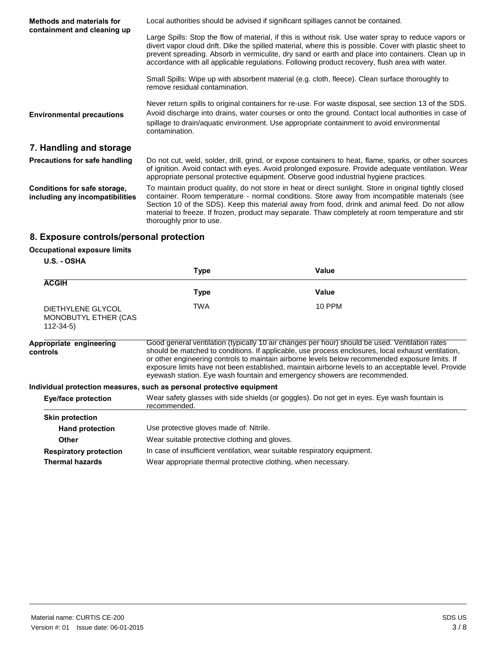| <b>Methods and materials for</b><br>containment and cleaning up | Local authorities should be advised if significant spillages cannot be contained.                                                                                                                                                                                                                                                                                                                                                         |  |
|-----------------------------------------------------------------|-------------------------------------------------------------------------------------------------------------------------------------------------------------------------------------------------------------------------------------------------------------------------------------------------------------------------------------------------------------------------------------------------------------------------------------------|--|
|                                                                 | Large Spills: Stop the flow of material, if this is without risk. Use water spray to reduce vapors or<br>divert vapor cloud drift. Dike the spilled material, where this is possible. Cover with plastic sheet to<br>prevent spreading. Absorb in vermiculite, dry sand or earth and place into containers. Clean up in<br>accordance with all applicable regulations. Following product recovery, flush area with water.                 |  |
|                                                                 | Small Spills: Wipe up with absorbent material (e.g. cloth, fleece). Clean surface thoroughly to<br>remove residual contamination.                                                                                                                                                                                                                                                                                                         |  |
| <b>Environmental precautions</b>                                | Never return spills to original containers for re-use. For waste disposal, see section 13 of the SDS.<br>Avoid discharge into drains, water courses or onto the ground. Contact local authorities in case of<br>spillage to drain/aquatic environment. Use appropriate containment to avoid environmental<br>contamination.                                                                                                               |  |
| 7. Handling and storage                                         |                                                                                                                                                                                                                                                                                                                                                                                                                                           |  |
| <b>Precautions for safe handling</b>                            | Do not cut, weld, solder, drill, grind, or expose containers to heat, flame, sparks, or other sources<br>of ignition. Avoid contact with eyes. Avoid prolonged exposure. Provide adequate ventilation. Wear<br>appropriate personal protective equipment. Observe good industrial hygiene practices.                                                                                                                                      |  |
| Conditions for safe storage,<br>including any incompatibilities | To maintain product quality, do not store in heat or direct sunlight. Store in original tightly closed<br>container. Room temperature - normal conditions. Store away from incompatible materials (see<br>Section 10 of the SDS). Keep this material away from food, drink and animal feed. Do not allow<br>material to freeze. If frozen, product may separate. Thaw completely at room temperature and stir<br>thoroughly prior to use. |  |

## **8. Exposure controls/personal protection**

## **Occupational exposure limits**

#### **U.S. - OSHA**

|                                                        | Type                                                                      | Value                                                                                                                                                                                                                                                                                                                                                                                                                                                                                       |
|--------------------------------------------------------|---------------------------------------------------------------------------|---------------------------------------------------------------------------------------------------------------------------------------------------------------------------------------------------------------------------------------------------------------------------------------------------------------------------------------------------------------------------------------------------------------------------------------------------------------------------------------------|
| <b>ACGIH</b>                                           |                                                                           |                                                                                                                                                                                                                                                                                                                                                                                                                                                                                             |
|                                                        | <b>Type</b>                                                               | Value                                                                                                                                                                                                                                                                                                                                                                                                                                                                                       |
| DIETHYLENE GLYCOL<br>MONOBUTYL ETHER (CAS<br>112-34-5) | TWA                                                                       | <b>10 PPM</b>                                                                                                                                                                                                                                                                                                                                                                                                                                                                               |
| Appropriate engineering<br>controls                    |                                                                           | Good general ventilation (typically 10 air changes per hour) should be used. Ventilation rates<br>should be matched to conditions. If applicable, use process enclosures, local exhaust ventilation,<br>or other engineering controls to maintain airborne levels below recommended exposure limits. If<br>exposure limits have not been established, maintain airborne levels to an acceptable level. Provide<br>eyewash station. Eye wash fountain and emergency showers are recommended. |
|                                                        | Individual protection measures, such as personal protective equipment     |                                                                                                                                                                                                                                                                                                                                                                                                                                                                                             |
| <b>Eye/face protection</b>                             | recommended.                                                              | Wear safety glasses with side shields (or goggles). Do not get in eyes. Eye wash fountain is                                                                                                                                                                                                                                                                                                                                                                                                |
| <b>Skin protection</b>                                 |                                                                           |                                                                                                                                                                                                                                                                                                                                                                                                                                                                                             |
| <b>Hand protection</b>                                 | Use protective gloves made of: Nitrile.                                   |                                                                                                                                                                                                                                                                                                                                                                                                                                                                                             |
| <b>Other</b>                                           | Wear suitable protective clothing and gloves.                             |                                                                                                                                                                                                                                                                                                                                                                                                                                                                                             |
| <b>Respiratory protection</b>                          | In case of insufficient ventilation, wear suitable respiratory equipment. |                                                                                                                                                                                                                                                                                                                                                                                                                                                                                             |
| Thermal hazards                                        | Wear appropriate thermal protective clothing, when necessary.             |                                                                                                                                                                                                                                                                                                                                                                                                                                                                                             |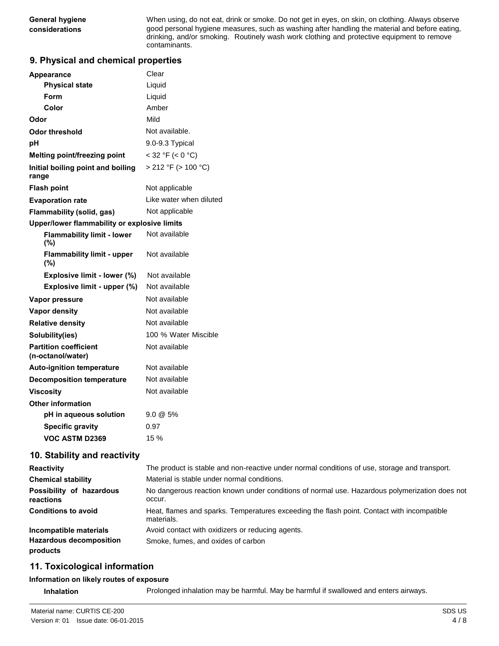**General hygiene** When using, do not eat, drink or smoke. Do not get in eyes, on skin, on clothing. Always observe **considerations** good personal hygiene measures, such as washing after handling the material and before eating, drinking, and/or smoking. Routinely wash work clothing and protective equipment to remove contaminants.

## **9. Physical and chemical properties**

| <b>Appearance</b>                                 | Clear                    |
|---------------------------------------------------|--------------------------|
| <b>Physical state</b>                             | Liquid                   |
| Form                                              | Liquid                   |
| Color                                             | Amber                    |
| Odor                                              | Mild                     |
| <b>Odor threshold</b>                             | Not available.           |
| рH                                                | 9.0-9.3 Typical          |
| Melting point/freezing point                      | $<$ 32 °F ( $<$ 0 °C)    |
| Initial boiling point and boiling<br>range        | $> 212$ °F ( $> 100$ °C) |
| <b>Flash point</b>                                | Not applicable           |
| <b>Evaporation rate</b>                           | Like water when diluted  |
| <b>Flammability (solid, gas)</b>                  | Not applicable           |
| Upper/lower flammability or explosive limits      |                          |
| <b>Flammability limit - lower</b><br>(%)          | Not available            |
| <b>Flammability limit - upper</b><br>(%)          | Not available            |
| Explosive limit - lower (%)                       | Not available            |
| Explosive limit - upper (%)                       | Not available            |
| Vapor pressure                                    | Not available            |
| <b>Vapor density</b>                              | Not available            |
| <b>Relative density</b>                           | Not available            |
| Solubility(ies)                                   | 100 % Water Miscible     |
| <b>Partition coefficient</b><br>(n-octanol/water) | Not available            |
| <b>Auto-ignition temperature</b>                  | Not available            |
| <b>Decomposition temperature</b>                  | Not available            |
| Viscosity                                         | Not available            |
| <b>Other information</b>                          |                          |
| pH in aqueous solution                            | $9.0 \& 5\%$             |
| <b>Specific gravity</b>                           | 0.97                     |
| VOC ASTM D2369                                    | 15 %                     |

## **10. Stability and reactivity**

| <b>Reactivity</b>                          | The product is stable and non-reactive under normal conditions of use, storage and transport.            |
|--------------------------------------------|----------------------------------------------------------------------------------------------------------|
| <b>Chemical stability</b>                  | Material is stable under normal conditions.                                                              |
| Possibility of hazardous<br>reactions      | No dangerous reaction known under conditions of normal use. Hazardous polymerization does not<br>occur.  |
| <b>Conditions to avoid</b>                 | Heat, flames and sparks. Temperatures exceeding the flash point. Contact with incompatible<br>materials. |
| Incompatible materials                     | Avoid contact with oxidizers or reducing agents.                                                         |
| <b>Hazardous decomposition</b><br>products | Smoke, fumes, and oxides of carbon                                                                       |

## **11. Toxicological information**

#### **Information on likely routes of exposure**

**Inhalation** Prolonged inhalation may be harmful. May be harmful if swallowed and enters airways.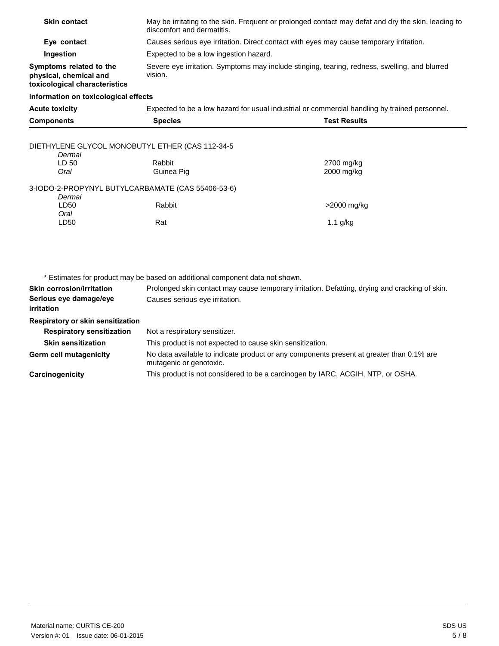| <b>Skin contact</b>                                                                | May be irritating to the skin. Frequent or prolonged contact may defat and dry the skin, leading to<br>discomfort and dermatitis. |                          |  |
|------------------------------------------------------------------------------------|-----------------------------------------------------------------------------------------------------------------------------------|--------------------------|--|
| Eye contact                                                                        | Causes serious eye irritation. Direct contact with eyes may cause temporary irritation.                                           |                          |  |
| Ingestion                                                                          | Expected to be a low ingestion hazard.                                                                                            |                          |  |
| Symptoms related to the<br>physical, chemical and<br>toxicological characteristics | Severe eye irritation. Symptoms may include stinging, tearing, redness, swelling, and blurred<br>vision.                          |                          |  |
| Information on toxicological effects                                               |                                                                                                                                   |                          |  |
| <b>Acute toxicity</b>                                                              | Expected to be a low hazard for usual industrial or commercial handling by trained personnel.                                     |                          |  |
| <b>Components</b>                                                                  | <b>Species</b>                                                                                                                    | <b>Test Results</b>      |  |
| DIETHYLENE GLYCOL MONOBUTYL ETHER (CAS 112-34-5<br>Dermal                          |                                                                                                                                   |                          |  |
| LD 50<br>Oral                                                                      | Rabbit<br>Guinea Pig                                                                                                              | 2700 mg/kg<br>2000 mg/kg |  |
| 3-IODO-2-PROPYNYL BUTYLCARBAMATE (CAS 55406-53-6)<br>Dermal                        |                                                                                                                                   |                          |  |
| LD50<br>Oral                                                                       | Rabbit                                                                                                                            | >2000 mg/kg              |  |
| LD50                                                                               | Rat                                                                                                                               | $1.1$ g/kg               |  |
|                                                                                    |                                                                                                                                   |                          |  |
|                                                                                    | * Estimates for product may be based on additional component data not shown.                                                      |                          |  |
| <b>Skin corrosion/irritation</b>                                                   | Prolonged skin contact may cause temporary irritation. Defatting, drying and cracking of skin.                                    |                          |  |
| Serious eye damage/eye<br><i>irritation</i>                                        | Causes serious eye irritation.                                                                                                    |                          |  |
| Respiratory or skin sensitization                                                  |                                                                                                                                   |                          |  |
| <b>Respiratory sensitization</b>                                                   | Not a respiratory sensitizer.                                                                                                     |                          |  |
| <b>Skin sensitization</b>                                                          | This product is not expected to cause skin sensitization.                                                                         |                          |  |
| <b>Germ cell mutagenicity</b>                                                      | No data available to indicate product or any components present at greater than 0.1% are<br>mutagenic or genotoxic.               |                          |  |

This product is not considered to be a carcinogen by IARC, ACGIH, NTP, or OSHA.

**Carcinogenicity**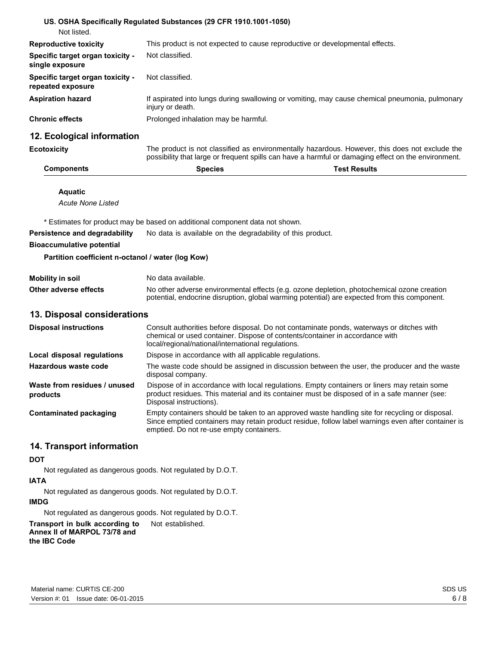|                                                       | US. OSHA Specifically Regulated Substances (29 CFR 1910.1001-1050)                                                                                                                                    |  |  |
|-------------------------------------------------------|-------------------------------------------------------------------------------------------------------------------------------------------------------------------------------------------------------|--|--|
| Not listed.                                           |                                                                                                                                                                                                       |  |  |
| <b>Reproductive toxicity</b>                          | This product is not expected to cause reproductive or developmental effects.                                                                                                                          |  |  |
| Specific target organ toxicity -<br>single exposure   | Not classified.                                                                                                                                                                                       |  |  |
| Specific target organ toxicity -<br>repeated exposure | Not classified.                                                                                                                                                                                       |  |  |
| <b>Aspiration hazard</b>                              | If aspirated into lungs during swallowing or vomiting, may cause chemical pneumonia, pulmonary<br>injury or death.                                                                                    |  |  |
| <b>Chronic effects</b>                                | Prolonged inhalation may be harmful.                                                                                                                                                                  |  |  |
| 12. Ecological information                            |                                                                                                                                                                                                       |  |  |
| <b>Ecotoxicity</b>                                    | The product is not classified as environmentally hazardous. However, this does not exclude the<br>possibility that large or frequent spills can have a harmful or damaging effect on the environment. |  |  |
| <b>Components</b>                                     | <b>Species</b><br><b>Test Results</b>                                                                                                                                                                 |  |  |
| <b>Aquatic</b>                                        |                                                                                                                                                                                                       |  |  |
| <b>Acute None Listed</b>                              |                                                                                                                                                                                                       |  |  |
|                                                       | * Estimates for product may be based on additional component data not shown.                                                                                                                          |  |  |
| Persistence and degradability                         | No data is available on the degradability of this product.                                                                                                                                            |  |  |
| <b>Bioaccumulative potential</b>                      |                                                                                                                                                                                                       |  |  |
| Partition coefficient n-octanol / water (log Kow)     |                                                                                                                                                                                                       |  |  |
| <b>Mobility in soil</b>                               | No data available.                                                                                                                                                                                    |  |  |
| Other adverse effects                                 | No other adverse environmental effects (e.g. ozone depletion, photochemical ozone creation                                                                                                            |  |  |

#### **13. Disposal considerations**

| <b>Disposal instructions</b>             | Consult authorities before disposal. Do not contaminate ponds, waterways or ditches with<br>chemical or used container. Dispose of contents/container in accordance with<br>local/regional/national/international regulations.                   |
|------------------------------------------|--------------------------------------------------------------------------------------------------------------------------------------------------------------------------------------------------------------------------------------------------|
| Local disposal regulations               | Dispose in accordance with all applicable regulations.                                                                                                                                                                                           |
| Hazardous waste code                     | The waste code should be assigned in discussion between the user, the producer and the waste<br>disposal company.                                                                                                                                |
| Waste from residues / unused<br>products | Dispose of in accordance with local regulations. Empty containers or liners may retain some<br>product residues. This material and its container must be disposed of in a safe manner (see:<br>Disposal instructions).                           |
| <b>Contaminated packaging</b>            | Empty containers should be taken to an approved waste handling site for recycling or disposal.<br>Since emptied containers may retain product residue, follow label warnings even after container is<br>emptied. Do not re-use empty containers. |

potential, endocrine disruption, global warming potential) are expected from this component.

#### **14. Transport information**

#### **DOT**

Not regulated as dangerous goods. Not regulated by D.O.T.

## **IATA**

Not regulated as dangerous goods. Not regulated by D.O.T.

## **IMDG**

Not regulated as dangerous goods. Not regulated by D.O.T.

**Transport in bulk according to** Not established. **Annex II of MARPOL 73/78 and** 

## **the IBC Code**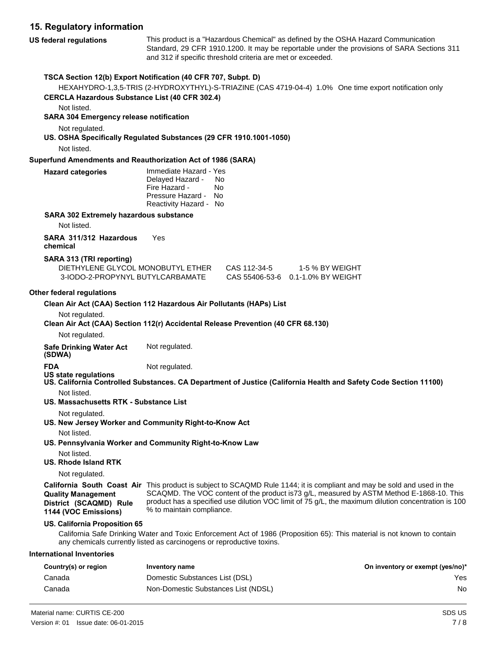## **15. Regulatory information**

**US federal regulations** This product is a "Hazardous Chemical" as defined by the OSHA Hazard Communication Standard, 29 CFR 1910.1200. It may be reportable under the provisions of SARA Sections 311 and 312 if specific threshold criteria are met or exceeded. **TSCA Section 12(b) Export Notification (40 CFR 707, Subpt. D)**  HEXAHYDRO-1,3,5-TRIS (2-HYDROXYTHYL)-S-TRIAZINE (CAS 4719-04-4) 1.0% One time export notification only **CERCLA Hazardous Substance List (40 CFR 302.4)**  Not listed. **SARA 304 Emergency release notification** 

Not regulated.

**US. OSHA Specifically Regulated Substances (29 CFR 1910.1001-1050)** 

Not listed.

#### **Superfund Amendments and Reauthorization Act of 1986 (SARA)**

| <b>Hazard categories</b> | Immediate Hazard - Yes<br>Delayed Hazard -<br>Fire Hazard -<br>Pressure Hazard - No | No.<br>N٥ |
|--------------------------|-------------------------------------------------------------------------------------|-----------|
|                          |                                                                                     |           |
|                          | Reactivity Hazard - No                                                              |           |

#### **SARA 302 Extremely hazardous substance**

Not listed.

**SARA 311/312 Hazardous** Yes **chemical** 

#### **SARA 313 (TRI reporting)**

| DIETHYLENE GLYCOL MONOBUTYL ETHER | CAS 112-34-5 | 1-5 % BY WEIGHT                   |
|-----------------------------------|--------------|-----------------------------------|
| 3-IODO-2-PROPYNYL BUTYLCARBAMATE  |              | CAS 55406-53-6 0.1-1.0% BY WEIGHT |

#### **Other federal regulations**

| Clean Air Act (CAA) Section 112 Hazardous Air Pollutants (HAPs) List |  |
|----------------------------------------------------------------------|--|
|----------------------------------------------------------------------|--|

Not regulated.

**Clean Air Act (CAA) Section 112(r) Accidental Release Prevention (40 CFR 68.130)** 

Not regulated.

**Safe Drinking Water Act** Not regulated.

**(SDWA)** 

**FDA** Not regulated.

- **US state regulations**
- **US. California Controlled Substances. CA Department of Justice (California Health and Safety Code Section 11100)**  Not listed.
- **US. Massachusetts RTK - Substance List**

Not regulated.

- **US. New Jersey Worker and Community Right-to-Know Act** 
	- Not listed.

**US. Pennsylvania Worker and Community Right-to-Know Law** 

- Not listed.
- **US. Rhode Island RTK**

Not regulated.

**Quality Management**

**1144 (VOC Emissions)**

**California South Coast Air**  This product is subject to SCAQMD Rule 1144; it is compliant and may be sold and used in the **District (SCAQMD) Rule**  SCAQMD. The VOC content of the product is73 g/L, measured by ASTM Method E-1868-10. This product has a specified use dilution VOC limit of 75 g/L, the maximum dilution concentration is 100 % to maintain compliance.

## **US. California Proposition 65**

California Safe Drinking Water and Toxic Enforcement Act of 1986 (Proposition 65): This material is not known to contain any chemicals currently listed as carcinogens or reproductive toxins.

## **International Inventories**

| Country(s) or region | Inventory name                      | On inventory or exempt (yes/no)* |
|----------------------|-------------------------------------|----------------------------------|
| Canada               | Domestic Substances List (DSL)      | Yes                              |
| Canada               | Non-Domestic Substances List (NDSL) | No                               |